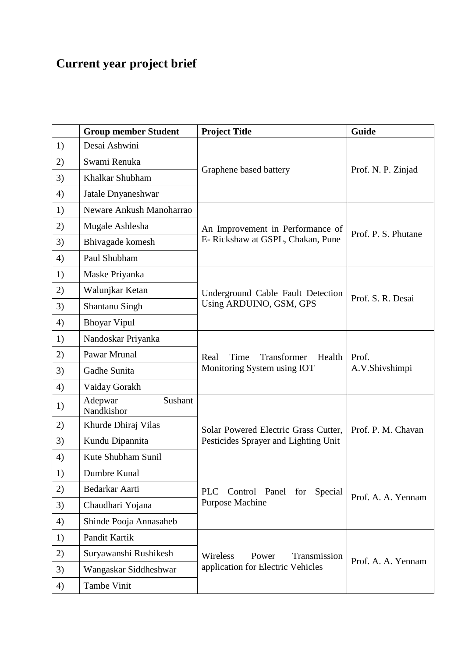## **Current year project brief**

|    | <b>Group member Student</b>      | <b>Project Title</b>                                                    | Guide                   |
|----|----------------------------------|-------------------------------------------------------------------------|-------------------------|
| 1) | Desai Ashwini                    | Graphene based battery                                                  | Prof. N. P. Zinjad      |
| 2) | Swami Renuka                     |                                                                         |                         |
| 3) | Khalkar Shubham                  |                                                                         |                         |
| 4) | Jatale Dnyaneshwar               |                                                                         |                         |
| 1) | Neware Ankush Manoharrao         |                                                                         |                         |
| 2) | Mugale Ashlesha                  | An Improvement in Performance of<br>E- Rickshaw at GSPL, Chakan, Pune   | Prof. P. S. Phutane     |
| 3) | Bhivagade komesh                 |                                                                         |                         |
| 4) | Paul Shubham                     |                                                                         |                         |
| 1) | Maske Priyanka                   | Underground Cable Fault Detection<br>Using ARDUINO, GSM, GPS            | Prof. S. R. Desai       |
| 2) | Walunjkar Ketan                  |                                                                         |                         |
| 3) | Shantanu Singh                   |                                                                         |                         |
| 4) | <b>Bhoyar Vipul</b>              |                                                                         |                         |
| 1) | Nandoskar Priyanka               |                                                                         |                         |
| 2) | Pawar Mrunal                     | Time<br>Transformer<br>Health<br>Real                                   | Prof.<br>A.V.Shivshimpi |
| 3) | Gadhe Sunita                     | Monitoring System using IOT                                             |                         |
| 4) | Vaiday Gorakh                    |                                                                         |                         |
| 1) | Sushant<br>Adepwar<br>Nandkishor |                                                                         |                         |
| 2) | Khurde Dhiraj Vilas              | Solar Powered Electric Grass Cutter,                                    | Prof. P. M. Chavan      |
| 3) | Kundu Dipannita                  | Pesticides Sprayer and Lighting Unit                                    |                         |
| 4) | Kute Shubham Sunil               |                                                                         |                         |
| 1) | Dumbre Kunal                     |                                                                         |                         |
| 2) | Bedarkar Aarti                   | <b>PLC</b><br>Control Panel<br>for<br>Special<br><b>Purpose Machine</b> | Prof. A. A. Yennam      |
| 3) | Chaudhari Yojana                 |                                                                         |                         |
| 4) | Shinde Pooja Annasaheb           |                                                                         |                         |
| 1) | Pandit Kartik                    |                                                                         |                         |
| 2) | Suryawanshi Rushikesh            | Wireless<br>Transmission<br>Power<br>application for Electric Vehicles  | Prof. A. A. Yennam      |
| 3) | Wangaskar Siddheshwar            |                                                                         |                         |
| 4) | Tambe Vinit                      |                                                                         |                         |